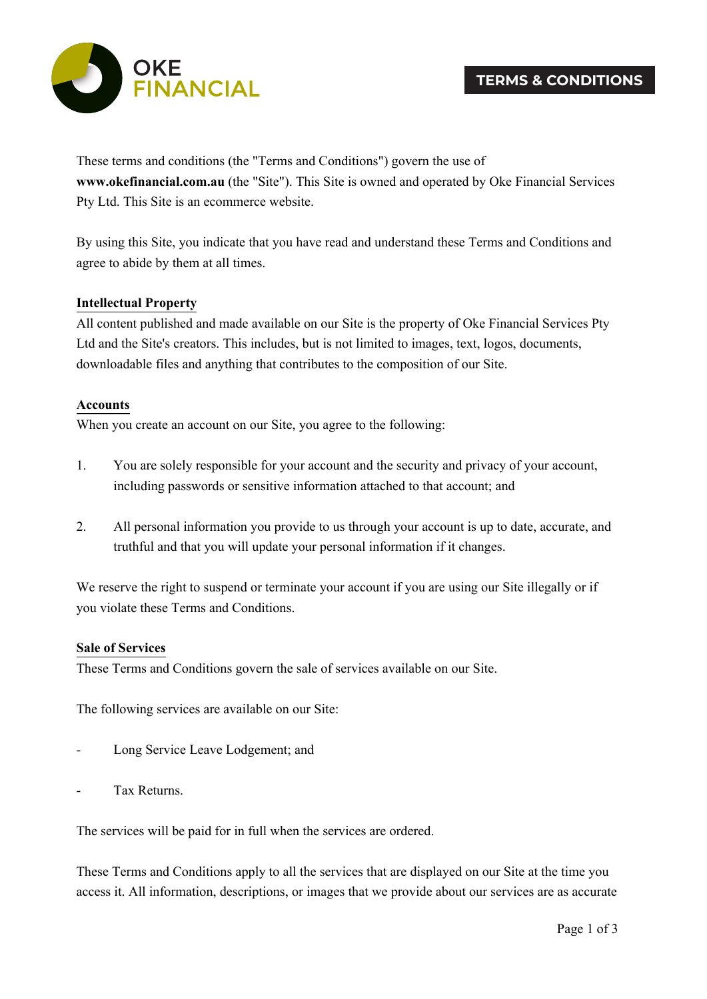

These terms and conditions (the "Terms and Conditions") govern the use of **www.okefinancial.com.au** (the "Site"). This Site is owned and operated by Oke Financial Services Pty Ltd. This Site is an ecommerce website.

By using this Site, you indicate that you have read and understand these Terms and Conditions and agree to abide by them at all times.

## **Intellectual Property**

All content published and made available on our Site is the property of Oke Financial Services Pty Ltd and the Site's creators. This includes, but is not limited to images, text, logos, documents, downloadable files and anything that contributes to the composition of our Site.

### **Accounts**

When you create an account on our Site, you agree to the following:

- 1. You are solely responsible for your account and the security and privacy of your account, including passwords or sensitive information attached to that account; and
- 2. All personal information you provide to us through your account is up to date, accurate, and truthful and that you will update your personal information if it changes.

We reserve the right to suspend or terminate your account if you are using our Site illegally or if you violate these Terms and Conditions.

#### **Sale of Services**

These Terms and Conditions govern the sale of services available on our Site.

The following services are available on our Site:

- Long Service Leave Lodgement; and
- Tax Returns.

The services will be paid for in full when the services are ordered.

These Terms and Conditions apply to all the services that are displayed on our Site at the time you access it. All information, descriptions, or images that we provide about our services are as accurate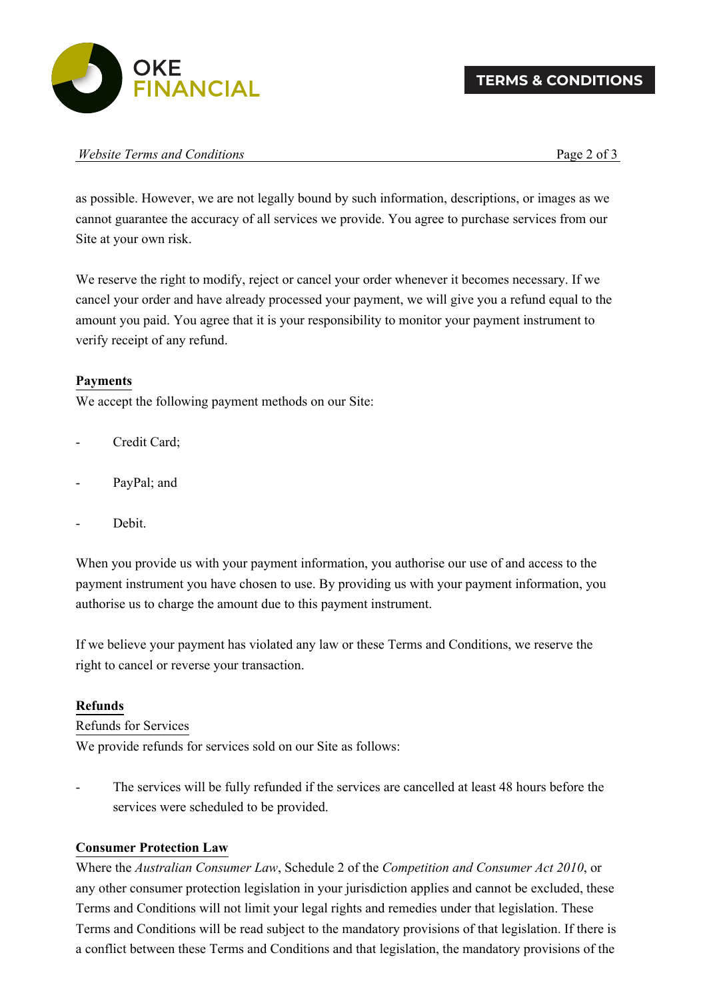

| Website Terms and Conditions |  | Page 2 of $\sim$ |
|------------------------------|--|------------------|
|------------------------------|--|------------------|

as possible. However, we are not legally bound by such information, descriptions, or images as we cannot guarantee the accuracy of all services we provide. You agree to purchase services from our Site at your own risk.

We reserve the right to modify, reject or cancel your order whenever it becomes necessary. If we cancel your order and have already processed your payment, we will give you a refund equal to the amount you paid. You agree that it is your responsibility to monitor your payment instrument to verify receipt of any refund.

# **Payments**

We accept the following payment methods on our Site:

- Credit Card;
- PayPal; and
- Debit.

When you provide us with your payment information, you authorise our use of and access to the payment instrument you have chosen to use. By providing us with your payment information, you authorise us to charge the amount due to this payment instrument.

If we believe your payment has violated any law or these Terms and Conditions, we reserve the right to cancel or reverse your transaction.

### **Refunds**

### Refunds for Services

We provide refunds for services sold on our Site as follows:

The services will be fully refunded if the services are cancelled at least 48 hours before the services were scheduled to be provided.

# **Consumer Protection Law**

Where the *Australian Consumer Law*, Schedule 2 of the *Competition and Consumer Act 2010*, or any other consumer protection legislation in your jurisdiction applies and cannot be excluded, these Terms and Conditions will not limit your legal rights and remedies under that legislation. These Terms and Conditions will be read subject to the mandatory provisions of that legislation. If there is a conflict between these Terms and Conditions and that legislation, the mandatory provisions of the